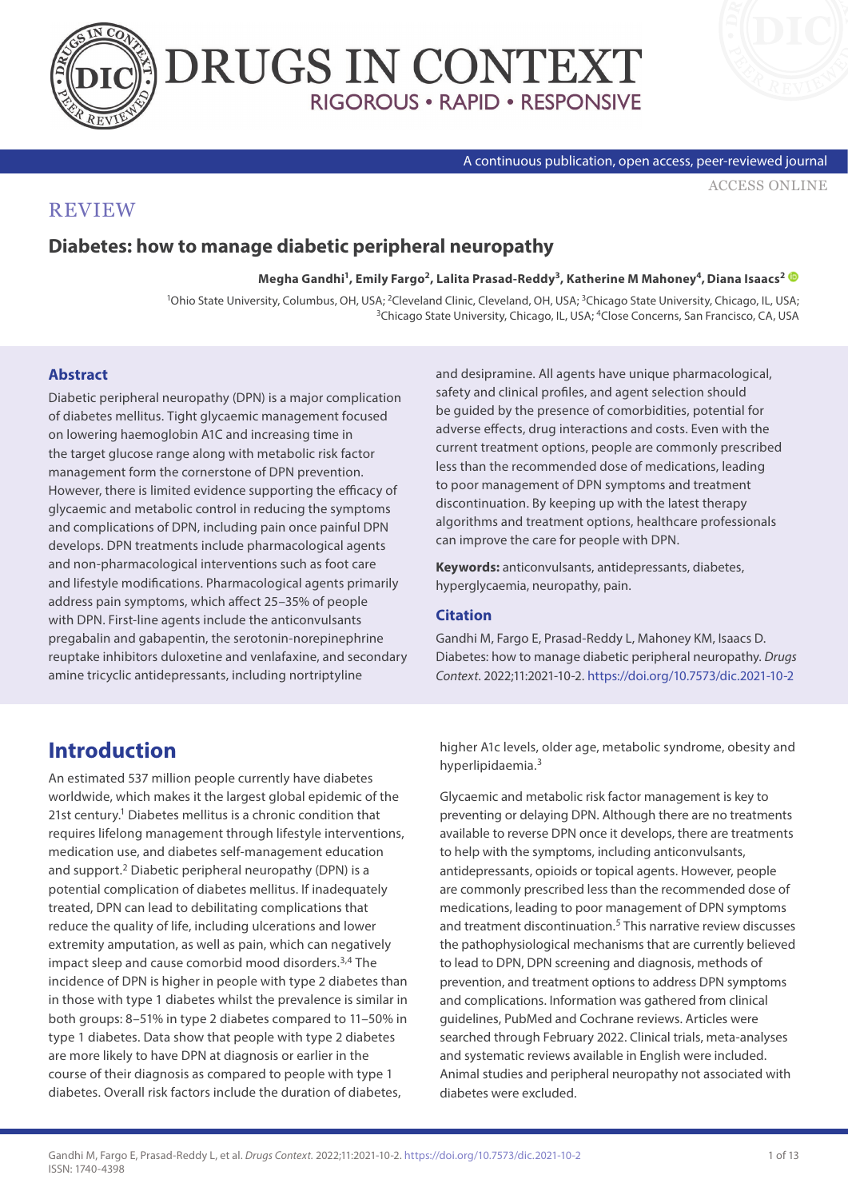



#### A continuous publication, open access, peer-reviewed journal

[ACCESS ONLINE](https://www.drugsincontext.com/diabetes-how-to-manage-diabetic-peripheral-neuropathy)

## **REVIEW**

## **Diabetes: how to manage diabetic peripheral neuropathy**

Megha Gandhi<sup>1</sup>, Emily Fargo<sup>2</sup>, Lalita Prasad-Reddy<sup>3</sup>, Katherine M Mahoney<sup>4</sup>, Diana Isaacs<sup>2 ®</sup>

<sup>1</sup>Ohio State University, Columbus, OH, USA; <sup>2</sup>Cleveland Clinic, Cleveland, OH, USA; <sup>3</sup>Chicago State University, Chicago, IL, USA; <sup>3</sup>Chicago State University, Chicago, IL, USA; 4Close Concerns, San Francisco, CA, USA

### **Abstract**

Diabetic peripheral neuropathy (DPN) is a major complication of diabetes mellitus. Tight glycaemic management focused on lowering haemoglobin A1C and increasing time in the target glucose range along with metabolic risk factor management form the cornerstone of DPN prevention. However, there is limited evidence supporting the efficacy of glycaemic and metabolic control in reducing the symptoms and complications of DPN, including pain once painful DPN develops. DPN treatments include pharmacological agents and non-pharmacological interventions such as foot care and lifestyle modifications. Pharmacological agents primarily address pain symptoms, which affect 25–35% of people with DPN. First-line agents include the anticonvulsants pregabalin and gabapentin, the serotonin-norepinephrine reuptake inhibitors duloxetine and venlafaxine, and secondary amine tricyclic antidepressants, including nortriptyline

and desipramine. All agents have unique pharmacological, safety and clinical profiles, and agent selection should be guided by the presence of comorbidities, potential for adverse effects, drug interactions and costs. Even with the current treatment options, people are commonly prescribed less than the recommended dose of medications, leading to poor management of DPN symptoms and treatment discontinuation. By keeping up with the latest therapy algorithms and treatment options, healthcare professionals can improve the care for people with DPN.

**Keywords:** anticonvulsants, antidepressants, diabetes, hyperglycaemia, neuropathy, pain.

### **Citation**

Gandhi M, Fargo E, Prasad-Reddy L, Mahoney KM, Isaacs D. Diabetes: how to manage diabetic peripheral neuropathy. *Drugs Context*. 2022;11:2021-10-2. <https://doi.org/10.7573/dic.2021-10-2>

# **Introduction**

An estimated 537 million people currently have diabetes worldwide, which makes it the largest global epidemic of the 21st century.<sup>1</sup> Diabetes mellitus is a chronic condition that requires lifelong management through lifestyle interventions, medication use, and diabetes self-management education and support.2 Diabetic peripheral neuropathy (DPN) is a potential complication of diabetes mellitus. If inadequately treated, DPN can lead to debilitating complications that reduce the quality of life, including ulcerations and lower extremity amputation, as well as pain, which can negatively impact sleep and cause comorbid mood disorders.3,4 The incidence of DPN is higher in people with type 2 diabetes than in those with type 1 diabetes whilst the prevalence is similar in both groups: 8–51% in type 2 diabetes compared to 11–50% in type 1 diabetes. Data show that people with type 2 diabetes are more likely to have DPN at diagnosis or earlier in the course of their diagnosis as compared to people with type 1 diabetes. Overall risk factors include the duration of diabetes,

higher A1c levels, older age, metabolic syndrome, obesity and hyperlipidaemia.3

Glycaemic and metabolic risk factor management is key to preventing or delaying DPN. Although there are no treatments available to reverse DPN once it develops, there are treatments to help with the symptoms, including anticonvulsants, antidepressants, opioids or topical agents. However, people are commonly prescribed less than the recommended dose of medications, leading to poor management of DPN symptoms and treatment discontinuation.<sup>5</sup> This narrative review discusses the pathophysiological mechanisms that are currently believed to lead to DPN, DPN screening and diagnosis, methods of prevention, and treatment options to address DPN symptoms and complications. Information was gathered from clinical guidelines, PubMed and Cochrane reviews. Articles were searched through February 2022. Clinical trials, meta-analyses and systematic reviews available in English were included. Animal studies and peripheral neuropathy not associated with diabetes were excluded.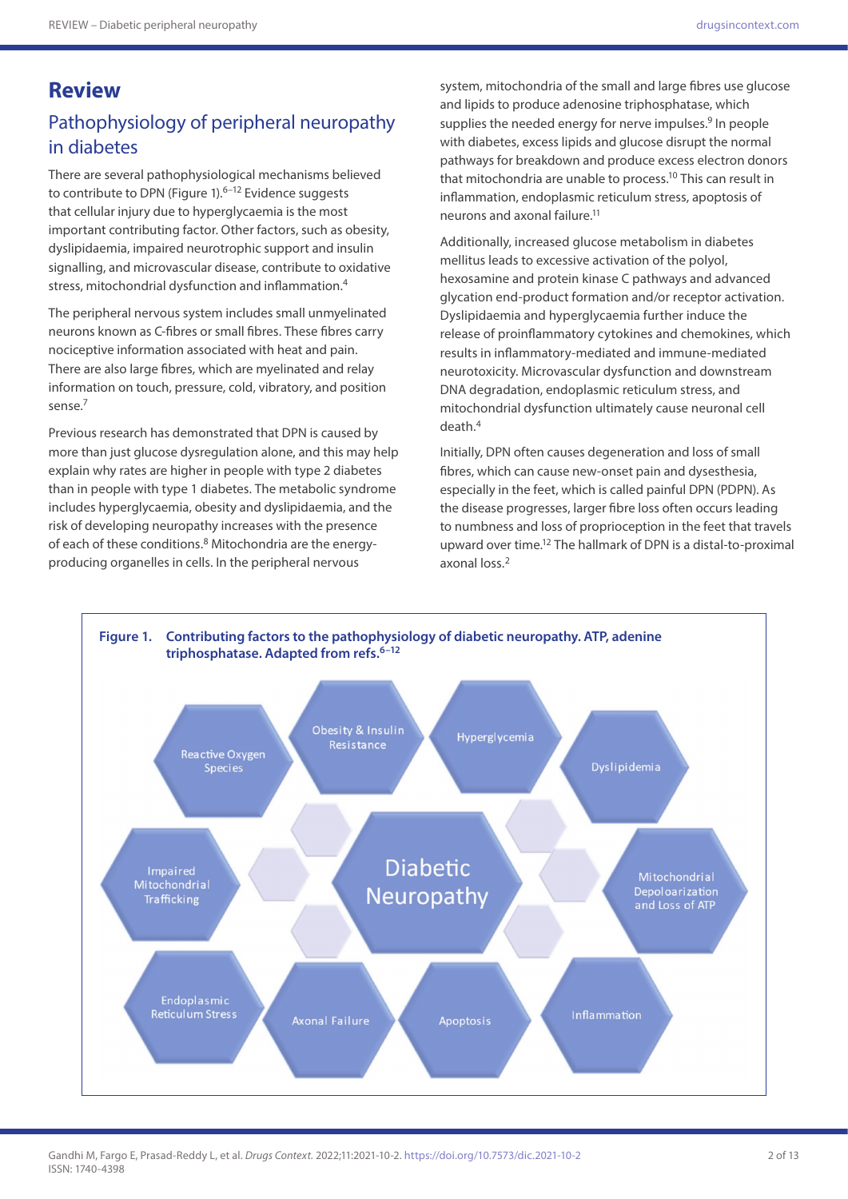# **Review**

# Pathophysiology of peripheral neuropathy in diabetes

There are several pathophysiological mechanisms believed to contribute to DPN (Figure 1). $6-12$  Evidence suggests that cellular injury due to hyperglycaemia is the most important contributing factor. Other factors, such as obesity, dyslipidaemia, impaired neurotrophic support and insulin signalling, and microvascular disease, contribute to oxidative stress, mitochondrial dysfunction and inflammation.4

The peripheral nervous system includes small unmyelinated neurons known as C-fibres or small fibres. These fibres carry nociceptive information associated with heat and pain. There are also large fibres, which are myelinated and relay information on touch, pressure, cold, vibratory, and position sense.7

Previous research has demonstrated that DPN is caused by more than just glucose dysregulation alone, and this may help explain why rates are higher in people with type 2 diabetes than in people with type 1 diabetes. The metabolic syndrome includes hyperglycaemia, obesity and dyslipidaemia, and the risk of developing neuropathy increases with the presence of each of these conditions.<sup>8</sup> Mitochondria are the energyproducing organelles in cells. In the peripheral nervous

system, mitochondria of the small and large fibres use glucose and lipids to produce adenosine triphosphatase, which supplies the needed energy for nerve impulses.<sup>9</sup> In people with diabetes, excess lipids and glucose disrupt the normal pathways for breakdown and produce excess electron donors that mitochondria are unable to process.<sup>10</sup> This can result in inflammation, endoplasmic reticulum stress, apoptosis of neurons and axonal failure.11

Additionally, increased glucose metabolism in diabetes mellitus leads to excessive activation of the polyol, hexosamine and protein kinase C pathways and advanced glycation end-product formation and/or receptor activation. Dyslipidaemia and hyperglycaemia further induce the release of proinflammatory cytokines and chemokines, which results in inflammatory-mediated and immune-mediated neurotoxicity. Microvascular dysfunction and downstream DNA degradation, endoplasmic reticulum stress, and mitochondrial dysfunction ultimately cause neuronal cell death.4

Initially, DPN often causes degeneration and loss of small fibres, which can cause new-onset pain and dysesthesia, especially in the feet, which is called painful DPN (PDPN). As the disease progresses, larger fibre loss often occurs leading to numbness and loss of proprioception in the feet that travels upward over time.<sup>12</sup> The hallmark of DPN is a distal-to-proximal axonal loss.2

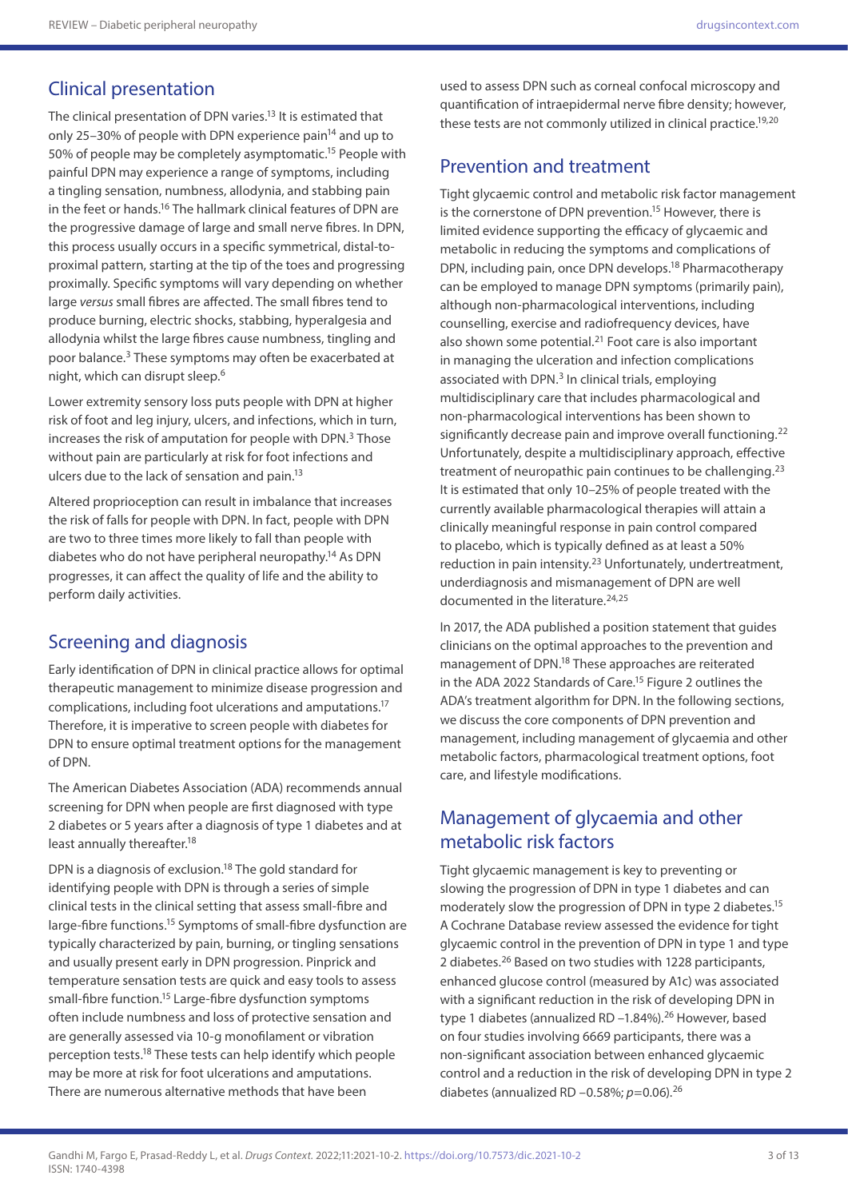## Clinical presentation

The clinical presentation of DPN varies.<sup>13</sup> It is estimated that only 25–30% of people with DPN experience pain $14$  and up to 50% of people may be completely asymptomatic.15 People with painful DPN may experience a range of symptoms, including a tingling sensation, numbness, allodynia, and stabbing pain in the feet or hands.<sup>16</sup> The hallmark clinical features of DPN are the progressive damage of large and small nerve fibres. In DPN, this process usually occurs in a specific symmetrical, distal-toproximal pattern, starting at the tip of the toes and progressing proximally. Specific symptoms will vary depending on whether large *versus* small fibres are affected. The small fibres tend to produce burning, electric shocks, stabbing, hyperalgesia and allodynia whilst the large fibres cause numbness, tingling and poor balance.3 These symptoms may often be exacerbated at night, which can disrupt sleep.6

Lower extremity sensory loss puts people with DPN at higher risk of foot and leg injury, ulcers, and infections, which in turn, increases the risk of amputation for people with DPN. $3$  Those without pain are particularly at risk for foot infections and ulcers due to the lack of sensation and pain.13

Altered proprioception can result in imbalance that increases the risk of falls for people with DPN. In fact, people with DPN are two to three times more likely to fall than people with diabetes who do not have peripheral neuropathy.14 As DPN progresses, it can affect the quality of life and the ability to perform daily activities.

## Screening and diagnosis

Early identification of DPN in clinical practice allows for optimal therapeutic management to minimize disease progression and complications, including foot ulcerations and amputations.17 Therefore, it is imperative to screen people with diabetes for DPN to ensure optimal treatment options for the management of DPN.

The American Diabetes Association (ADA) recommends annual screening for DPN when people are first diagnosed with type 2 diabetes or 5 years after a diagnosis of type 1 diabetes and at least annually thereafter.<sup>18</sup>

DPN is a diagnosis of exclusion.18 The gold standard for identifying people with DPN is through a series of simple clinical tests in the clinical setting that assess small-fibre and large-fibre functions.15 Symptoms of small-fibre dysfunction are typically characterized by pain, burning, or tingling sensations and usually present early in DPN progression. Pinprick and temperature sensation tests are quick and easy tools to assess small-fibre function.15 Large-fibre dysfunction symptoms often include numbness and loss of protective sensation and are generally assessed via 10-g monofilament or vibration perception tests.18 These tests can help identify which people may be more at risk for foot ulcerations and amputations. There are numerous alternative methods that have been

used to assess DPN such as corneal confocal microscopy and quantification of intraepidermal nerve fibre density; however, these tests are not commonly utilized in clinical practice.<sup>19,20</sup>

## Prevention and treatment

Tight glycaemic control and metabolic risk factor management is the cornerstone of DPN prevention.<sup>15</sup> However, there is limited evidence supporting the efficacy of glycaemic and metabolic in reducing the symptoms and complications of DPN, including pain, once DPN develops.18 Pharmacotherapy can be employed to manage DPN symptoms (primarily pain), although non-pharmacological interventions, including counselling, exercise and radiofrequency devices, have also shown some potential.<sup>21</sup> Foot care is also important in managing the ulceration and infection complications associated with DPN. $3$  In clinical trials, employing multidisciplinary care that includes pharmacological and non-pharmacological interventions has been shown to significantly decrease pain and improve overall functioning.<sup>22</sup> Unfortunately, despite a multidisciplinary approach, effective treatment of neuropathic pain continues to be challenging. $23$ It is estimated that only 10–25% of people treated with the currently available pharmacological therapies will attain a clinically meaningful response in pain control compared to placebo, which is typically defined as at least a 50% reduction in pain intensity.<sup>23</sup> Unfortunately, undertreatment, underdiagnosis and mismanagement of DPN are well documented in the literature.<sup>24,25</sup>

In 2017, the ADA published a position statement that guides clinicians on the optimal approaches to the prevention and management of DPN.18 These approaches are reiterated in the ADA 2022 Standards of Care.15 Figure 2 outlines the ADA's treatment algorithm for DPN. In the following sections, we discuss the core components of DPN prevention and management, including management of glycaemia and other metabolic factors, pharmacological treatment options, foot care, and lifestyle modifications.

## Management of glycaemia and other metabolic risk factors

Tight glycaemic management is key to preventing or slowing the progression of DPN in type 1 diabetes and can moderately slow the progression of DPN in type 2 diabetes.<sup>15</sup> A Cochrane Database review assessed the evidence for tight glycaemic control in the prevention of DPN in type 1 and type 2 diabetes.26 Based on two studies with 1228 participants, enhanced glucose control (measured by A1c) was associated with a significant reduction in the risk of developing DPN in type 1 diabetes (annualized RD -1.84%).<sup>26</sup> However, based on four studies involving 6669 participants, there was a non-significant association between enhanced glycaemic control and a reduction in the risk of developing DPN in type 2 diabetes (annualized RD –0.58%; *p*=0.06).26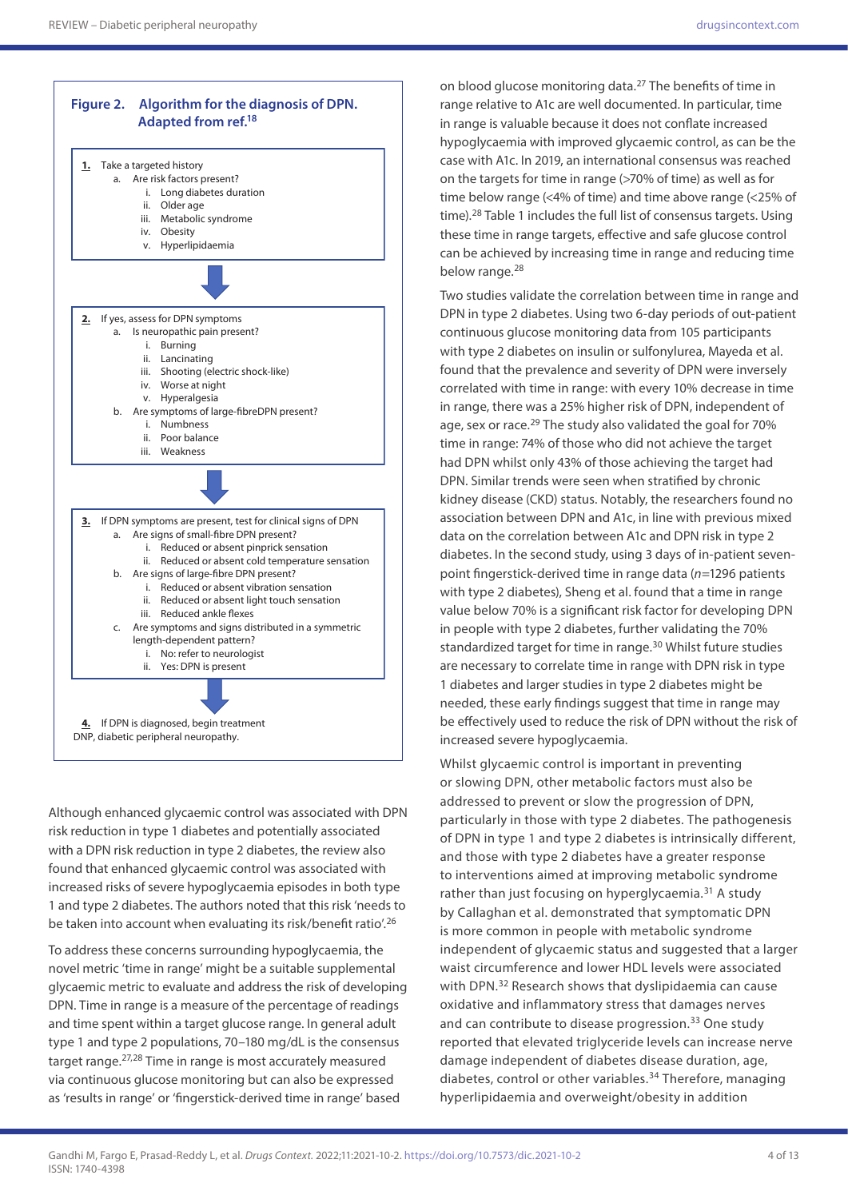

Although enhanced glycaemic control was associated with DPN risk reduction in type 1 diabetes and potentially associated with a DPN risk reduction in type 2 diabetes, the review also found that enhanced glycaemic control was associated with increased risks of severe hypoglycaemia episodes in both type 1 and type 2 diabetes. The authors noted that this risk 'needs to be taken into account when evaluating its risk/benefit ratio<sup>'.26</sup>

To address these concerns surrounding hypoglycaemia, the novel metric 'time in range' might be a suitable supplemental glycaemic metric to evaluate and address the risk of developing DPN. Time in range is a measure of the percentage of readings and time spent within a target glucose range. In general adult type 1 and type 2 populations, 70–180 mg/dL is the consensus target range.27,28 Time in range is most accurately measured via continuous glucose monitoring but can also be expressed as 'results in range' or 'fingerstick-derived time in range' based

on blood glucose monitoring data.27 The benefits of time in range relative to A1c are well documented. In particular, time in range is valuable because it does not conflate increased hypoglycaemia with improved glycaemic control, as can be the case with A1c. In 2019, an international consensus was reached on the targets for time in range (>70% of time) as well as for time below range (<4% of time) and time above range (<25% of time).<sup>28</sup> Table 1 includes the full list of consensus targets. Using these time in range targets, effective and safe glucose control can be achieved by increasing time in range and reducing time below range.<sup>28</sup>

Two studies validate the correlation between time in range and DPN in type 2 diabetes. Using two 6-day periods of out-patient continuous glucose monitoring data from 105 participants with type 2 diabetes on insulin or sulfonylurea, Mayeda et al. found that the prevalence and severity of DPN were inversely correlated with time in range: with every 10% decrease in time in range, there was a 25% higher risk of DPN, independent of age, sex or race.<sup>29</sup> The study also validated the goal for 70% time in range: 74% of those who did not achieve the target had DPN whilst only 43% of those achieving the target had DPN. Similar trends were seen when stratified by chronic kidney disease (CKD) status. Notably, the researchers found no association between DPN and A1c, in line with previous mixed data on the correlation between A1c and DPN risk in type 2 diabetes. In the second study, using 3 days of in-patient sevenpoint fingerstick-derived time in range data (*n*=1296 patients with type 2 diabetes), Sheng et al. found that a time in range value below 70% is a significant risk factor for developing DPN in people with type 2 diabetes, further validating the 70% standardized target for time in range.<sup>30</sup> Whilst future studies are necessary to correlate time in range with DPN risk in type 1 diabetes and larger studies in type 2 diabetes might be needed, these early findings suggest that time in range may be effectively used to reduce the risk of DPN without the risk of increased severe hypoglycaemia.

Whilst glycaemic control is important in preventing or slowing DPN, other metabolic factors must also be addressed to prevent or slow the progression of DPN, particularly in those with type 2 diabetes. The pathogenesis of DPN in type 1 and type 2 diabetes is intrinsically different, and those with type 2 diabetes have a greater response to interventions aimed at improving metabolic syndrome rather than just focusing on hyperglycaemia. $31$  A study by Callaghan et al. demonstrated that symptomatic DPN is more common in people with metabolic syndrome independent of glycaemic status and suggested that a larger waist circumference and lower HDL levels were associated with DPN.<sup>32</sup> Research shows that dyslipidaemia can cause oxidative and inflammatory stress that damages nerves and can contribute to disease progression.<sup>33</sup> One study reported that elevated triglyceride levels can increase nerve damage independent of diabetes disease duration, age, diabetes, control or other variables.<sup>34</sup> Therefore, managing hyperlipidaemia and overweight/obesity in addition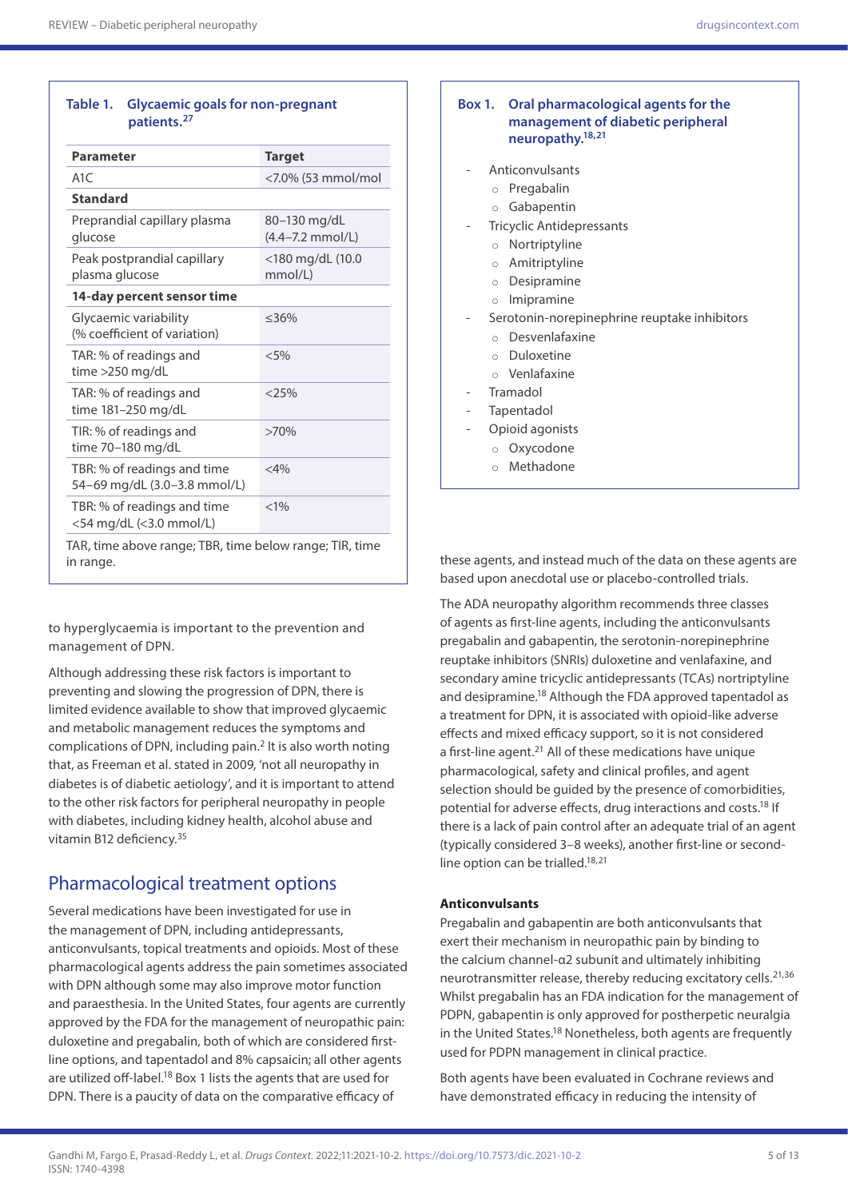**Table 1. Glycaemic goals for non-pregnant** 

| Parameter                                                   | <b>Target</b>                        |
|-------------------------------------------------------------|--------------------------------------|
| A <sub>1</sub> C                                            | <7.0% (53 mmol/mol                   |
| <b>Standard</b>                                             |                                      |
| Preprandial capillary plasma<br>glucose                     | 80–130 mg/dL<br>$(4.4 - 7.2$ mmol/L) |
| Peak postprandial capillary<br>plasma glucose               | <180 mg/dL (10.0<br>mmol/L)          |
| 14-day percent sensor time                                  |                                      |
| Glycaemic variability<br>(% coefficient of variation)       | $\leq 36\%$                          |
| TAR: % of readings and<br>time $>250$ mg/dL                 | <5%                                  |
| TAR: % of readings and<br>time 181-250 mg/dL                | $<$ 25%                              |
| TIR: % of readings and<br>time 70-180 mg/dL                 | $>70\%$                              |
| TBR: % of readings and time<br>54-69 mg/dL (3.0-3.8 mmol/L) | $<$ 4%                               |
| TBR: % of readings and time<br><54 mg/dL (<3.0 mmol/L)      | $< 1\%$                              |

TAR, time above range; TBR, time below range; TIR, time in range.

to hyperglycaemia is important to the prevention and management of DPN.

Although addressing these risk factors is important to preventing and slowing the progression of DPN, there is limited evidence available to show that improved glycaemic and metabolic management reduces the symptoms and complications of DPN, including pain.2 It is also worth noting that, as Freeman et al. stated in 2009, 'not all neuropathy in diabetes is of diabetic aetiology', and it is important to attend to the other risk factors for peripheral neuropathy in people with diabetes, including kidney health, alcohol abuse and vitamin B12 deficiency.35

## Pharmacological treatment options

Several medications have been investigated for use in the management of DPN, including antidepressants, anticonvulsants, topical treatments and opioids. Most of these pharmacological agents address the pain sometimes associated with DPN although some may also improve motor function and paraesthesia. In the United States, four agents are currently approved by the FDA for the management of neuropathic pain: duloxetine and pregabalin, both of which are considered firstline options, and tapentadol and 8% capsaicin; all other agents are utilized off-label.<sup>18</sup> Box 1 lists the agents that are used for DPN. There is a paucity of data on the comparative efficacy of

| Box 1. Oral pharmacological agents for the<br>management of diabetic peripheral<br>neuropathy. <sup>18,21</sup> |
|-----------------------------------------------------------------------------------------------------------------|
| Anticonvulsants                                                                                                 |
| Pregabalin<br>$\circ$                                                                                           |
| Gabapentin<br>$\circ$                                                                                           |
| <b>Tricyclic Antidepressants</b>                                                                                |
| Nortriptyline<br>$\circ$                                                                                        |
| Amitriptyline<br>$\circ$                                                                                        |
| o Desipramine                                                                                                   |
| Imipramine<br>$\circ$                                                                                           |
| Serotonin-norepinephrine reuptake inhibitors                                                                    |
| $\circ$ Desvenlafaxine                                                                                          |
| Duloxetine<br>$\Omega$                                                                                          |
| $\circ$ Venlafaxine                                                                                             |
| Tramadol                                                                                                        |
| Tapentadol                                                                                                      |
| Opioid agonists                                                                                                 |
| o Oxycodone                                                                                                     |
| $\circ$ Methadone                                                                                               |

these agents, and instead much of the data on these agents are based upon anecdotal use or placebo-controlled trials.

The ADA neuropathy algorithm recommends three classes of agents as first-line agents, including the anticonvulsants pregabalin and gabapentin, the serotonin-norepinephrine reuptake inhibitors (SNRIs) duloxetine and venlafaxine, and secondary amine tricyclic antidepressants (TCAs) nortriptyline and desipramine.<sup>18</sup> Although the FDA approved tapentadol as a treatment for DPN, it is associated with opioid-like adverse effects and mixed efficacy support, so it is not considered a first-line agent.<sup>21</sup> All of these medications have unique pharmacological, safety and clinical profiles, and agent selection should be guided by the presence of comorbidities, potential for adverse effects, drug interactions and costs.<sup>18</sup> If there is a lack of pain control after an adequate trial of an agent (typically considered 3–8 weeks), another first-line or secondline option can be trialled.<sup>18,21</sup>

#### **Anticonvulsants**

Pregabalin and gabapentin are both anticonvulsants that exert their mechanism in neuropathic pain by binding to the calcium channel-α2 subunit and ultimately inhibiting neurotransmitter release, thereby reducing excitatory cells.21,36 Whilst pregabalin has an FDA indication for the management of PDPN, gabapentin is only approved for postherpetic neuralgia in the United States.<sup>18</sup> Nonetheless, both agents are frequently used for PDPN management in clinical practice.

Both agents have been evaluated in Cochrane reviews and have demonstrated efficacy in reducing the intensity of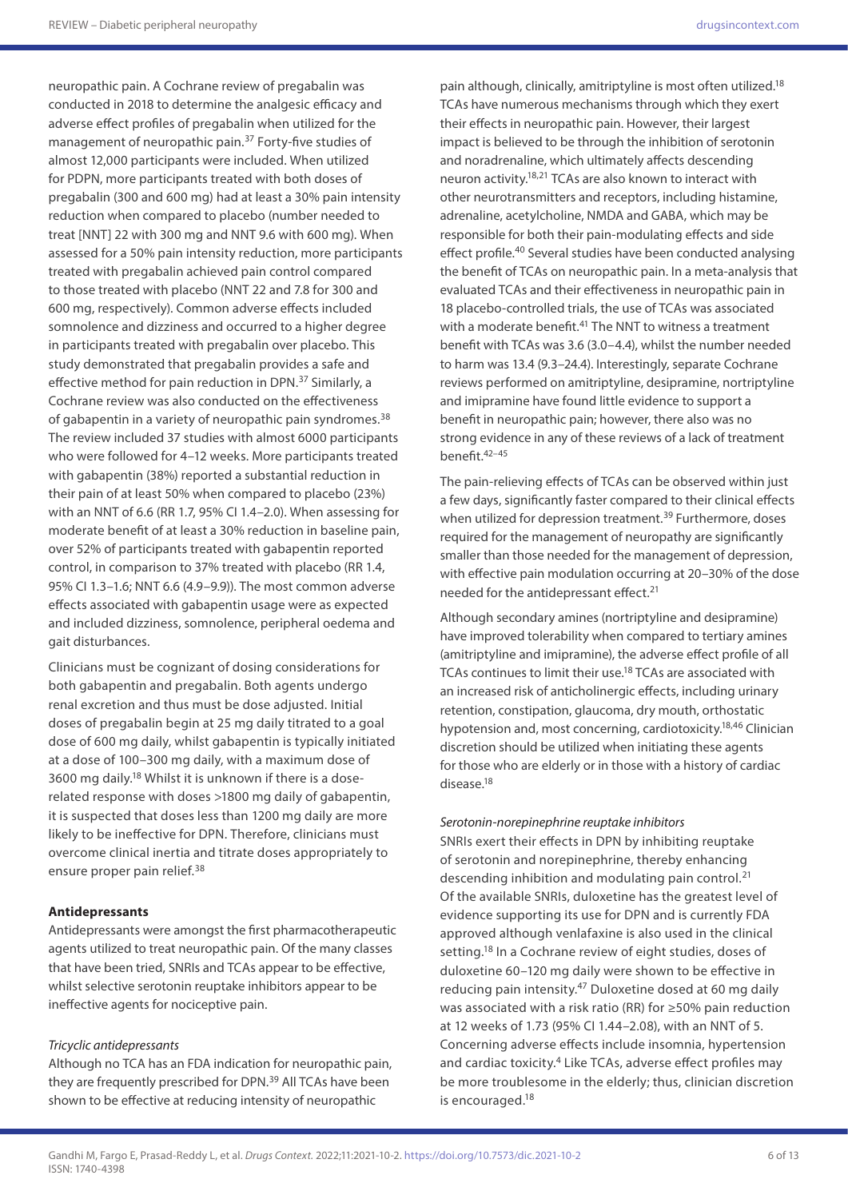neuropathic pain. A Cochrane review of pregabalin was conducted in 2018 to determine the analgesic efficacy and adverse effect profiles of pregabalin when utilized for the management of neuropathic pain.37 Forty-five studies of almost 12,000 participants were included. When utilized for PDPN, more participants treated with both doses of pregabalin (300 and 600 mg) had at least a 30% pain intensity reduction when compared to placebo (number needed to treat [NNT] 22 with 300 mg and NNT 9.6 with 600 mg). When assessed for a 50% pain intensity reduction, more participants treated with pregabalin achieved pain control compared to those treated with placebo (NNT 22 and 7.8 for 300 and 600 mg, respectively). Common adverse effects included somnolence and dizziness and occurred to a higher degree in participants treated with pregabalin over placebo. This study demonstrated that pregabalin provides a safe and effective method for pain reduction in DPN.37 Similarly, a Cochrane review was also conducted on the effectiveness of gabapentin in a variety of neuropathic pain syndromes.<sup>38</sup> The review included 37 studies with almost 6000 participants who were followed for 4–12 weeks. More participants treated with gabapentin (38%) reported a substantial reduction in their pain of at least 50% when compared to placebo (23%) with an NNT of 6.6 (RR 1.7, 95% CI 1.4–2.0). When assessing for moderate benefit of at least a 30% reduction in baseline pain, over 52% of participants treated with gabapentin reported control, in comparison to 37% treated with placebo (RR 1.4, 95% CI 1.3–1.6; NNT 6.6 (4.9–9.9)). The most common adverse effects associated with gabapentin usage were as expected and included dizziness, somnolence, peripheral oedema and gait disturbances.

Clinicians must be cognizant of dosing considerations for both gabapentin and pregabalin. Both agents undergo renal excretion and thus must be dose adjusted. Initial doses of pregabalin begin at 25 mg daily titrated to a goal dose of 600 mg daily, whilst gabapentin is typically initiated at a dose of 100–300 mg daily, with a maximum dose of 3600 mg daily.18 Whilst it is unknown if there is a doserelated response with doses >1800 mg daily of gabapentin, it is suspected that doses less than 1200 mg daily are more likely to be ineffective for DPN. Therefore, clinicians must overcome clinical inertia and titrate doses appropriately to ensure proper pain relief.<sup>38</sup>

## **Antidepressants**

Antidepressants were amongst the first pharmacotherapeutic agents utilized to treat neuropathic pain. Of the many classes that have been tried, SNRIs and TCAs appear to be effective, whilst selective serotonin reuptake inhibitors appear to be ineffective agents for nociceptive pain.

### *Tricyclic antidepressants*

Although no TCA has an FDA indication for neuropathic pain, they are frequently prescribed for DPN.<sup>39</sup> All TCAs have been shown to be effective at reducing intensity of neuropathic

pain although, clinically, amitriptyline is most often utilized.<sup>18</sup> TCAs have numerous mechanisms through which they exert their effects in neuropathic pain. However, their largest impact is believed to be through the inhibition of serotonin and noradrenaline, which ultimately affects descending neuron activity.<sup>18,21</sup> TCAs are also known to interact with other neurotransmitters and receptors, including histamine, adrenaline, acetylcholine, NMDA and GABA, which may be responsible for both their pain-modulating effects and side effect profile.40 Several studies have been conducted analysing the benefit of TCAs on neuropathic pain. In a meta-analysis that evaluated TCAs and their effectiveness in neuropathic pain in 18 placebo-controlled trials, the use of TCAs was associated with a moderate benefit.<sup>41</sup> The NNT to witness a treatment benefit with TCAs was 3.6 (3.0–4.4), whilst the number needed to harm was 13.4 (9.3–24.4). Interestingly, separate Cochrane reviews performed on amitriptyline, desipramine, nortriptyline and imipramine have found little evidence to support a benefit in neuropathic pain; however, there also was no strong evidence in any of these reviews of a lack of treatment benefit.42–45

The pain-relieving effects of TCAs can be observed within just a few days, significantly faster compared to their clinical effects when utilized for depression treatment.<sup>39</sup> Furthermore, doses required for the management of neuropathy are significantly smaller than those needed for the management of depression, with effective pain modulation occurring at 20–30% of the dose needed for the antidepressant effect.<sup>21</sup>

Although secondary amines (nortriptyline and desipramine) have improved tolerability when compared to tertiary amines (amitriptyline and imipramine), the adverse effect profile of all TCAs continues to limit their use.<sup>18</sup> TCAs are associated with an increased risk of anticholinergic effects, including urinary retention, constipation, glaucoma, dry mouth, orthostatic hypotension and, most concerning, cardiotoxicity.<sup>18,46</sup> Clinician discretion should be utilized when initiating these agents for those who are elderly or in those with a history of cardiac disease.18

## *Serotonin-norepinephrine reuptake inhibitors*

SNRIs exert their effects in DPN by inhibiting reuptake of serotonin and norepinephrine, thereby enhancing descending inhibition and modulating pain control.<sup>21</sup> Of the available SNRIs, duloxetine has the greatest level of evidence supporting its use for DPN and is currently FDA approved although venlafaxine is also used in the clinical setting.<sup>18</sup> In a Cochrane review of eight studies, doses of duloxetine 60–120 mg daily were shown to be effective in reducing pain intensity.<sup>47</sup> Duloxetine dosed at 60 mg daily was associated with a risk ratio (RR) for ≥50% pain reduction at 12 weeks of 1.73 (95% CI 1.44–2.08), with an NNT of 5. Concerning adverse effects include insomnia, hypertension and cardiac toxicity.<sup>4</sup> Like TCAs, adverse effect profiles may be more troublesome in the elderly; thus, clinician discretion is encouraged.18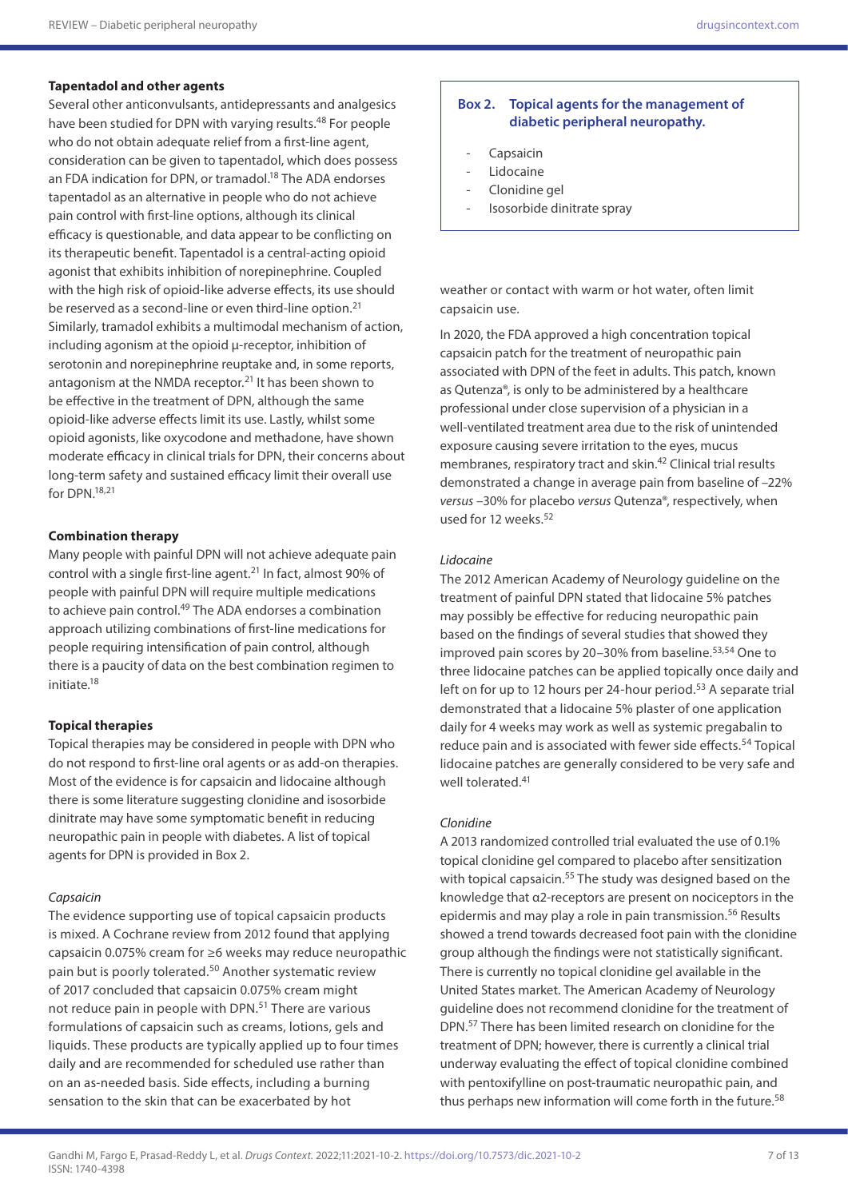### **Tapentadol and other agents**

Several other anticonvulsants, antidepressants and analgesics have been studied for DPN with varying results.<sup>48</sup> For people who do not obtain adequate relief from a first-line agent, consideration can be given to tapentadol, which does possess an FDA indication for DPN, or tramadol.<sup>18</sup> The ADA endorses tapentadol as an alternative in people who do not achieve pain control with first-line options, although its clinical efficacy is questionable, and data appear to be conflicting on its therapeutic benefit. Tapentadol is a central-acting opioid agonist that exhibits inhibition of norepinephrine. Coupled with the high risk of opioid-like adverse effects, its use should be reserved as a second-line or even third-line option.<sup>21</sup> Similarly, tramadol exhibits a multimodal mechanism of action, including agonism at the opioid µ-receptor, inhibition of serotonin and norepinephrine reuptake and, in some reports, antagonism at the NMDA receptor.<sup>21</sup> It has been shown to be effective in the treatment of DPN, although the same opioid-like adverse effects limit its use. Lastly, whilst some opioid agonists, like oxycodone and methadone, have shown moderate efficacy in clinical trials for DPN, their concerns about long-term safety and sustained efficacy limit their overall use for DPN.18,21

## **Combination therapy**

Many people with painful DPN will not achieve adequate pain control with a single first-line agent.21 In fact, almost 90% of people with painful DPN will require multiple medications to achieve pain control.<sup>49</sup> The ADA endorses a combination approach utilizing combinations of first-line medications for people requiring intensification of pain control, although there is a paucity of data on the best combination regimen to initiate.<sup>18</sup>

## **Topical therapies**

Topical therapies may be considered in people with DPN who do not respond to first-line oral agents or as add-on therapies. Most of the evidence is for capsaicin and lidocaine although there is some literature suggesting clonidine and isosorbide dinitrate may have some symptomatic benefit in reducing neuropathic pain in people with diabetes. A list of topical agents for DPN is provided in Box 2.

## *Capsaicin*

The evidence supporting use of topical capsaicin products is mixed. A Cochrane review from 2012 found that applying capsaicin 0.075% cream for ≥6 weeks may reduce neuropathic pain but is poorly tolerated.50 Another systematic review of 2017 concluded that capsaicin 0.075% cream might not reduce pain in people with DPN.<sup>51</sup> There are various formulations of capsaicin such as creams, lotions, gels and liquids. These products are typically applied up to four times daily and are recommended for scheduled use rather than on an as-needed basis. Side effects, including a burning sensation to the skin that can be exacerbated by hot

## **Box 2. Topical agents for the management of diabetic peripheral neuropathy.**

- **Capsaicin**
- Lidocaine
- Clonidine gel
- Isosorbide dinitrate spray

weather or contact with warm or hot water, often limit capsaicin use.

In 2020, the FDA approved a high concentration topical capsaicin patch for the treatment of neuropathic pain associated with DPN of the feet in adults. This patch, known as Qutenza®, is only to be administered by a healthcare professional under close supervision of a physician in a well-ventilated treatment area due to the risk of unintended exposure causing severe irritation to the eyes, mucus membranes, respiratory tract and skin.42 Clinical trial results demonstrated a change in average pain from baseline of –22% *versus* –30% for placebo *versus* Qutenza®, respectively, when used for 12 weeks.<sup>52</sup>

### *Lidocaine*

The 2012 American Academy of Neurology guideline on the treatment of painful DPN stated that lidocaine 5% patches may possibly be effective for reducing neuropathic pain based on the findings of several studies that showed they improved pain scores by 20–30% from baseline.<sup>53,54</sup> One to three lidocaine patches can be applied topically once daily and left on for up to 12 hours per 24-hour period.<sup>53</sup> A separate trial demonstrated that a lidocaine 5% plaster of one application daily for 4 weeks may work as well as systemic pregabalin to reduce pain and is associated with fewer side effects.<sup>54</sup> Topical lidocaine patches are generally considered to be very safe and well tolerated.<sup>41</sup>

### *Clonidine*

A 2013 randomized controlled trial evaluated the use of 0.1% topical clonidine gel compared to placebo after sensitization with topical capsaicin.<sup>55</sup> The study was designed based on the knowledge that α2-receptors are present on nociceptors in the epidermis and may play a role in pain transmission.<sup>56</sup> Results showed a trend towards decreased foot pain with the clonidine group although the findings were not statistically significant. There is currently no topical clonidine gel available in the United States market. The American Academy of Neurology guideline does not recommend clonidine for the treatment of DPN.57 There has been limited research on clonidine for the treatment of DPN; however, there is currently a clinical trial underway evaluating the effect of topical clonidine combined with pentoxifylline on post-traumatic neuropathic pain, and thus perhaps new information will come forth in the future.<sup>58</sup>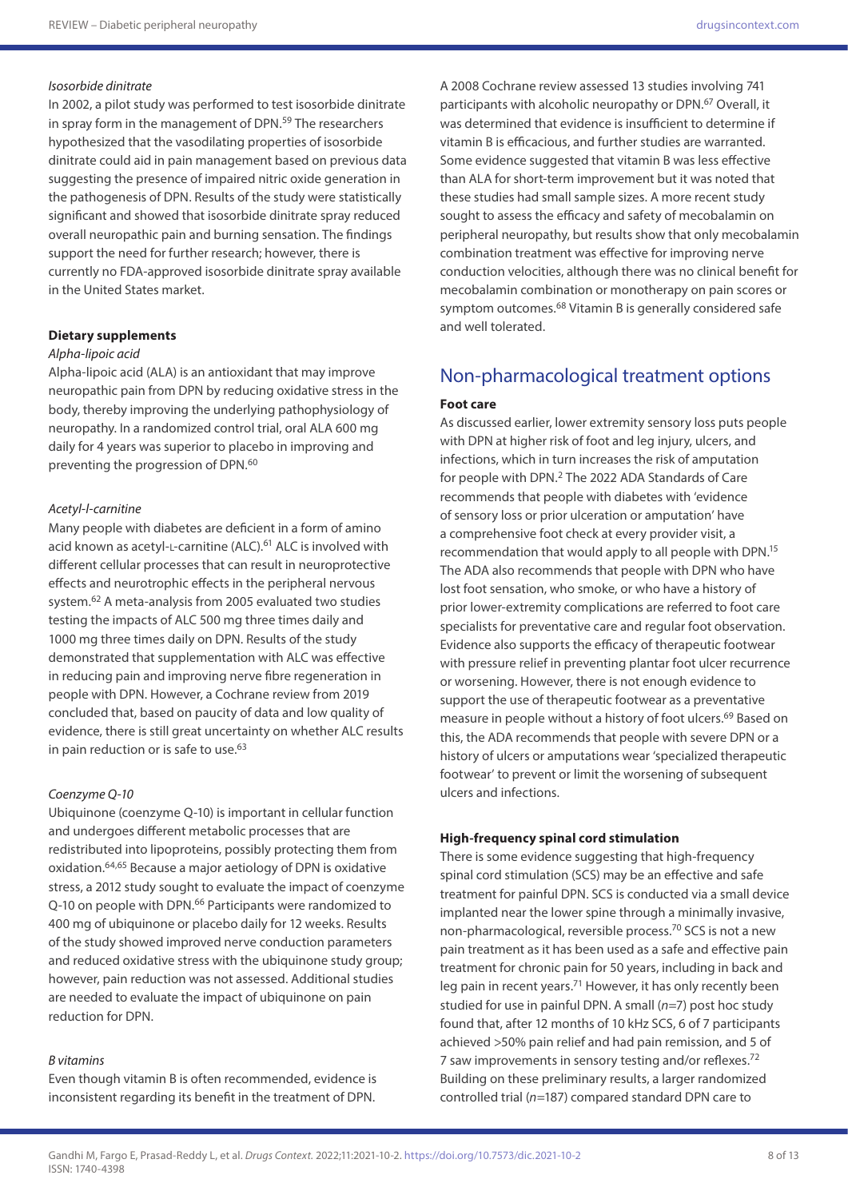### *Isosorbide dinitrate*

In 2002, a pilot study was performed to test isosorbide dinitrate in spray form in the management of DPN.<sup>59</sup> The researchers hypothesized that the vasodilating properties of isosorbide dinitrate could aid in pain management based on previous data suggesting the presence of impaired nitric oxide generation in the pathogenesis of DPN. Results of the study were statistically significant and showed that isosorbide dinitrate spray reduced overall neuropathic pain and burning sensation. The findings support the need for further research; however, there is currently no FDA-approved isosorbide dinitrate spray available in the United States market.

#### **Dietary supplements**

#### *Alpha-lipoic acid*

Alpha-lipoic acid (ALA) is an antioxidant that may improve neuropathic pain from DPN by reducing oxidative stress in the body, thereby improving the underlying pathophysiology of neuropathy. In a randomized control trial, oral ALA 600 mg daily for 4 years was superior to placebo in improving and preventing the progression of DPN.<sup>60</sup>

#### *Acetyl-l-carnitine*

Many people with diabetes are deficient in a form of amino acid known as acetyl-L-carnitine (ALC).<sup>61</sup> ALC is involved with different cellular processes that can result in neuroprotective effects and neurotrophic effects in the peripheral nervous system.62 A meta-analysis from 2005 evaluated two studies testing the impacts of ALC 500 mg three times daily and 1000 mg three times daily on DPN. Results of the study demonstrated that supplementation with ALC was effective in reducing pain and improving nerve fibre regeneration in people with DPN. However, a Cochrane review from 2019 concluded that, based on paucity of data and low quality of evidence, there is still great uncertainty on whether ALC results in pain reduction or is safe to use.<sup>63</sup>

#### *Coenzyme Q-10*

Ubiquinone (coenzyme Q-10) is important in cellular function and undergoes different metabolic processes that are redistributed into lipoproteins, possibly protecting them from oxidation.64,65 Because a major aetiology of DPN is oxidative stress, a 2012 study sought to evaluate the impact of coenzyme Q-10 on people with DPN.<sup>66</sup> Participants were randomized to 400 mg of ubiquinone or placebo daily for 12 weeks. Results of the study showed improved nerve conduction parameters and reduced oxidative stress with the ubiquinone study group; however, pain reduction was not assessed. Additional studies are needed to evaluate the impact of ubiquinone on pain reduction for DPN.

#### *B vitamins*

Even though vitamin B is often recommended, evidence is inconsistent regarding its benefit in the treatment of DPN.

A 2008 Cochrane review assessed 13 studies involving 741 participants with alcoholic neuropathy or DPN.67 Overall, it was determined that evidence is insufficient to determine if vitamin B is efficacious, and further studies are warranted. Some evidence suggested that vitamin B was less effective than ALA for short-term improvement but it was noted that these studies had small sample sizes. A more recent study sought to assess the efficacy and safety of mecobalamin on peripheral neuropathy, but results show that only mecobalamin combination treatment was effective for improving nerve conduction velocities, although there was no clinical benefit for mecobalamin combination or monotherapy on pain scores or symptom outcomes.<sup>68</sup> Vitamin B is generally considered safe and well tolerated.

## Non-pharmacological treatment options

#### **Foot care**

As discussed earlier, lower extremity sensory loss puts people with DPN at higher risk of foot and leg injury, ulcers, and infections, which in turn increases the risk of amputation for people with DPN.2 The 2022 ADA Standards of Care recommends that people with diabetes with 'evidence of sensory loss or prior ulceration or amputation' have a comprehensive foot check at every provider visit, a recommendation that would apply to all people with DPN.15 The ADA also recommends that people with DPN who have lost foot sensation, who smoke, or who have a history of prior lower-extremity complications are referred to foot care specialists for preventative care and regular foot observation. Evidence also supports the efficacy of therapeutic footwear with pressure relief in preventing plantar foot ulcer recurrence or worsening. However, there is not enough evidence to support the use of therapeutic footwear as a preventative measure in people without a history of foot ulcers.<sup>69</sup> Based on this, the ADA recommends that people with severe DPN or a history of ulcers or amputations wear 'specialized therapeutic footwear' to prevent or limit the worsening of subsequent ulcers and infections.

#### **High-frequency spinal cord stimulation**

There is some evidence suggesting that high-frequency spinal cord stimulation (SCS) may be an effective and safe treatment for painful DPN. SCS is conducted via a small device implanted near the lower spine through a minimally invasive, non-pharmacological, reversible process.70 SCS is not a new pain treatment as it has been used as a safe and effective pain treatment for chronic pain for 50 years, including in back and leg pain in recent years.<sup>71</sup> However, it has only recently been studied for use in painful DPN. A small (*n*=7) post hoc study found that, after 12 months of 10 kHz SCS, 6 of 7 participants achieved >50% pain relief and had pain remission, and 5 of 7 saw improvements in sensory testing and/or reflexes.<sup>72</sup> Building on these preliminary results, a larger randomized controlled trial (*n*=187) compared standard DPN care to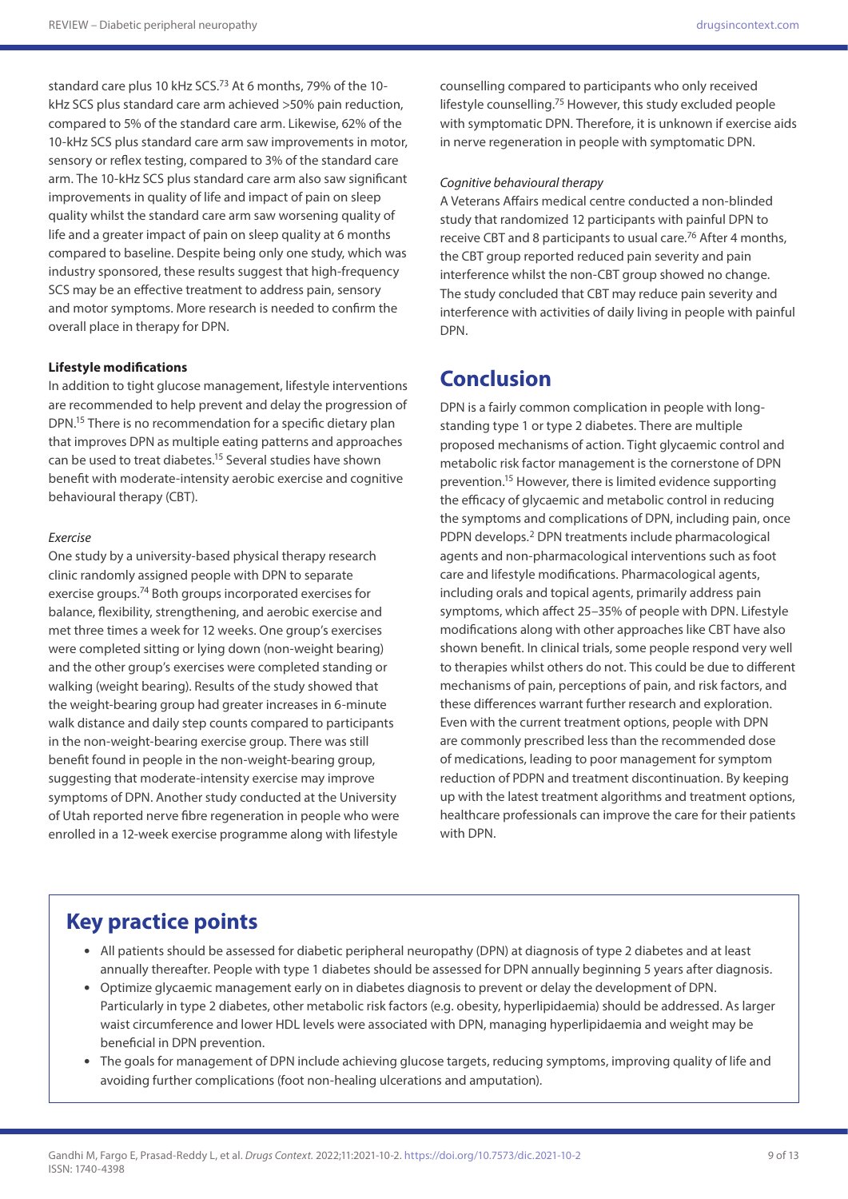standard care plus 10 kHz SCS.73 At 6 months, 79% of the 10 kHz SCS plus standard care arm achieved >50% pain reduction, compared to 5% of the standard care arm. Likewise, 62% of the 10-kHz SCS plus standard care arm saw improvements in motor, sensory or reflex testing, compared to 3% of the standard care arm. The 10-kHz SCS plus standard care arm also saw significant improvements in quality of life and impact of pain on sleep quality whilst the standard care arm saw worsening quality of life and a greater impact of pain on sleep quality at 6 months compared to baseline. Despite being only one study, which was industry sponsored, these results suggest that high-frequency SCS may be an effective treatment to address pain, sensory and motor symptoms. More research is needed to confirm the overall place in therapy for DPN.

### **Lifestyle modifications**

In addition to tight glucose management, lifestyle interventions are recommended to help prevent and delay the progression of DPN.15 There is no recommendation for a specific dietary plan that improves DPN as multiple eating patterns and approaches can be used to treat diabetes.<sup>15</sup> Several studies have shown benefit with moderate-intensity aerobic exercise and cognitive behavioural therapy (CBT).

#### *Exercise*

One study by a university-based physical therapy research clinic randomly assigned people with DPN to separate exercise groups.74 Both groups incorporated exercises for balance, flexibility, strengthening, and aerobic exercise and met three times a week for 12 weeks. One group's exercises were completed sitting or lying down (non-weight bearing) and the other group's exercises were completed standing or walking (weight bearing). Results of the study showed that the weight-bearing group had greater increases in 6-minute walk distance and daily step counts compared to participants in the non-weight-bearing exercise group. There was still benefit found in people in the non-weight-bearing group, suggesting that moderate-intensity exercise may improve symptoms of DPN. Another study conducted at the University of Utah reported nerve fibre regeneration in people who were enrolled in a 12-week exercise programme along with lifestyle

counselling compared to participants who only received lifestyle counselling.75 However, this study excluded people with symptomatic DPN. Therefore, it is unknown if exercise aids in nerve regeneration in people with symptomatic DPN.

#### *Cognitive behavioural therapy*

A Veterans Affairs medical centre conducted a non-blinded study that randomized 12 participants with painful DPN to receive CBT and 8 participants to usual care.<sup>76</sup> After 4 months, the CBT group reported reduced pain severity and pain interference whilst the non-CBT group showed no change. The study concluded that CBT may reduce pain severity and interference with activities of daily living in people with painful DPN.

# **Conclusion**

DPN is a fairly common complication in people with longstanding type 1 or type 2 diabetes. There are multiple proposed mechanisms of action. Tight glycaemic control and metabolic risk factor management is the cornerstone of DPN prevention.15 However, there is limited evidence supporting the efficacy of glycaemic and metabolic control in reducing the symptoms and complications of DPN, including pain, once PDPN develops.2 DPN treatments include pharmacological agents and non-pharmacological interventions such as foot care and lifestyle modifications. Pharmacological agents, including orals and topical agents, primarily address pain symptoms, which affect 25–35% of people with DPN. Lifestyle modifications along with other approaches like CBT have also shown benefit. In clinical trials, some people respond very well to therapies whilst others do not. This could be due to different mechanisms of pain, perceptions of pain, and risk factors, and these differences warrant further research and exploration. Even with the current treatment options, people with DPN are commonly prescribed less than the recommended dose of medications, leading to poor management for symptom reduction of PDPN and treatment discontinuation. By keeping up with the latest treatment algorithms and treatment options, healthcare professionals can improve the care for their patients with DPN.

# **Key practice points**

- All patients should be assessed for diabetic peripheral neuropathy (DPN) at diagnosis of type 2 diabetes and at least annually thereafter. People with type 1 diabetes should be assessed for DPN annually beginning 5 years after diagnosis.
- Optimize glycaemic management early on in diabetes diagnosis to prevent or delay the development of DPN. Particularly in type 2 diabetes, other metabolic risk factors (e.g. obesity, hyperlipidaemia) should be addressed. As larger waist circumference and lower HDL levels were associated with DPN, managing hyperlipidaemia and weight may be beneficial in DPN prevention.
- The goals for management of DPN include achieving glucose targets, reducing symptoms, improving quality of life and avoiding further complications (foot non-healing ulcerations and amputation).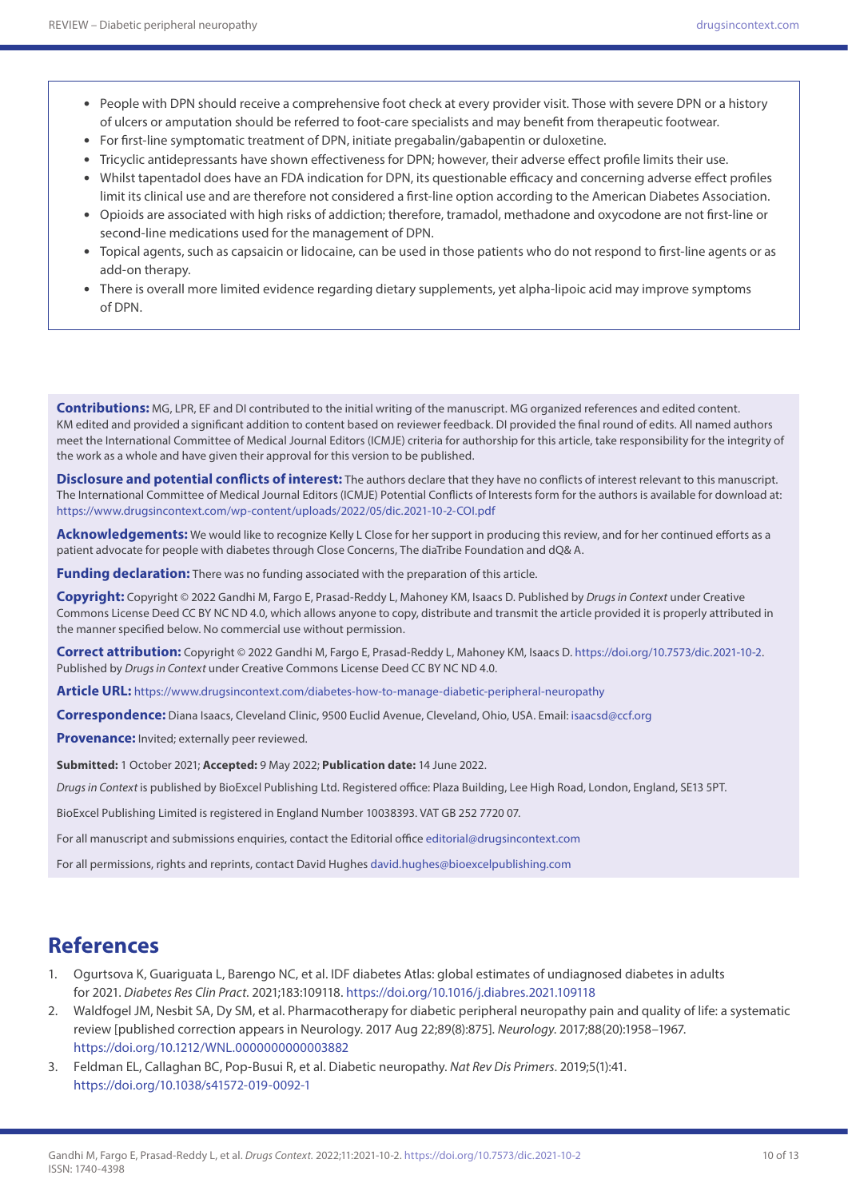- People with DPN should receive a comprehensive foot check at every provider visit. Those with severe DPN or a history of ulcers or amputation should be referred to foot-care specialists and may benefit from therapeutic footwear.
- For first-line symptomatic treatment of DPN, initiate pregabalin/gabapentin or duloxetine.
- Tricyclic antidepressants have shown effectiveness for DPN; however, their adverse effect profile limits their use.
- Whilst tapentadol does have an FDA indication for DPN, its questionable efficacy and concerning adverse effect profiles limit its clinical use and are therefore not considered a first-line option according to the American Diabetes Association.
- Opioids are associated with high risks of addiction; therefore, tramadol, methadone and oxycodone are not first-line or second-line medications used for the management of DPN.
- Topical agents, such as capsaicin or lidocaine, can be used in those patients who do not respond to first-line agents or as add-on therapy.
- There is overall more limited evidence regarding dietary supplements, yet alpha-lipoic acid may improve symptoms of DPN.

**Contributions:** MG, LPR, EF and DI contributed to the initial writing of the manuscript. MG organized references and edited content. KM edited and provided a significant addition to content based on reviewer feedback. DI provided the final round of edits. All named authors meet the International Committee of Medical Journal Editors (ICMJE) criteria for authorship for this article, take responsibility for the integrity of the work as a whole and have given their approval for this version to be published.

**Disclosure and potential conflicts of interest:** The authors declare that they have no conflicts of interest relevant to this manuscript. The International Committee of Medical Journal Editors (ICMJE) Potential Conflicts of Interests form for the authors is available for download at: <https://www.drugsincontext.com/wp-content/uploads/2022/05/dic.2021-10-2-COI.pdf>

Acknowledgements: We would like to recognize Kelly L Close for her support in producing this review, and for her continued efforts as a patient advocate for people with diabetes through Close Concerns, The diaTribe Foundation and dQ& A.

**Funding declaration:** There was no funding associated with the preparation of this article.

**Copyright:** Copyright © 2022 Gandhi M, Fargo E, Prasad-Reddy L, Mahoney KM, Isaacs D. Published by *Drugs in Context* under Creative Commons License Deed CC BY NC ND 4.0, which allows anyone to copy, distribute and transmit the article provided it is properly attributed in the manner specified below. No commercial use without permission.

**Correct attribution:** Copyright © 2022 Gandhi M, Fargo E, Prasad-Reddy L, Mahoney KM, Isaacs D. [https://doi.org/10.7573/dic.2021-10-2.](https://doi.org/10.7573/dic.2021-10-2) Published by *Drugs in Context* under Creative Commons License Deed CC BY NC ND 4.0.

**Article URL:** <https://www.drugsincontext.com/diabetes-how-to-manage-diabetic-peripheral-neuropathy>

**Correspondence:** Diana Isaacs, Cleveland Clinic, 9500 Euclid Avenue, Cleveland, Ohio, USA. Email: [isaacsd@ccf.org](mailto:isaacsd@ccf.org)

**Provenance:** Invited; externally peer reviewed.

**Submitted:** 1 October 2021; **Accepted:** 9 May 2022; **Publication date:** 14 June 2022.

*Drugs in Context* is published by BioExcel Publishing Ltd. Registered office: Plaza Building, Lee High Road, London, England, SE13 5PT.

BioExcel Publishing Limited is registered in England Number 10038393. VAT GB 252 7720 07.

For all manuscript and submissions enquiries, contact the Editorial office [editorial@drugsincontext.com](mailto:editorial@drugsincontext.com)

For all permissions, rights and reprints, contact David Hughes [david.hughes@bioexcelpublishing.com](mailto:david.hughes@bioexcelpublishing.com)

## **References**

- 1. Ogurtsova K, Guariguata L, Barengo NC, et al. IDF diabetes Atlas: global estimates of undiagnosed diabetes in adults for 2021. *Diabetes Res Clin Pract*. 2021;183:109118.<https://doi.org/10.1016/j.diabres.2021.109118>
- 2. Waldfogel JM, Nesbit SA, Dy SM, et al. Pharmacotherapy for diabetic peripheral neuropathy pain and quality of life: a systematic review [published correction appears in Neurology. 2017 Aug 22;89(8):875]. *Neurology*. 2017;88(20):1958–1967. <https://doi.org/10.1212/WNL.0000000000003882>
- 3. Feldman EL, Callaghan BC, Pop-Busui R, et al. Diabetic neuropathy. *Nat Rev Dis Primers*. 2019;5(1):41. <https://doi.org/10.1038/s41572-019-0092-1>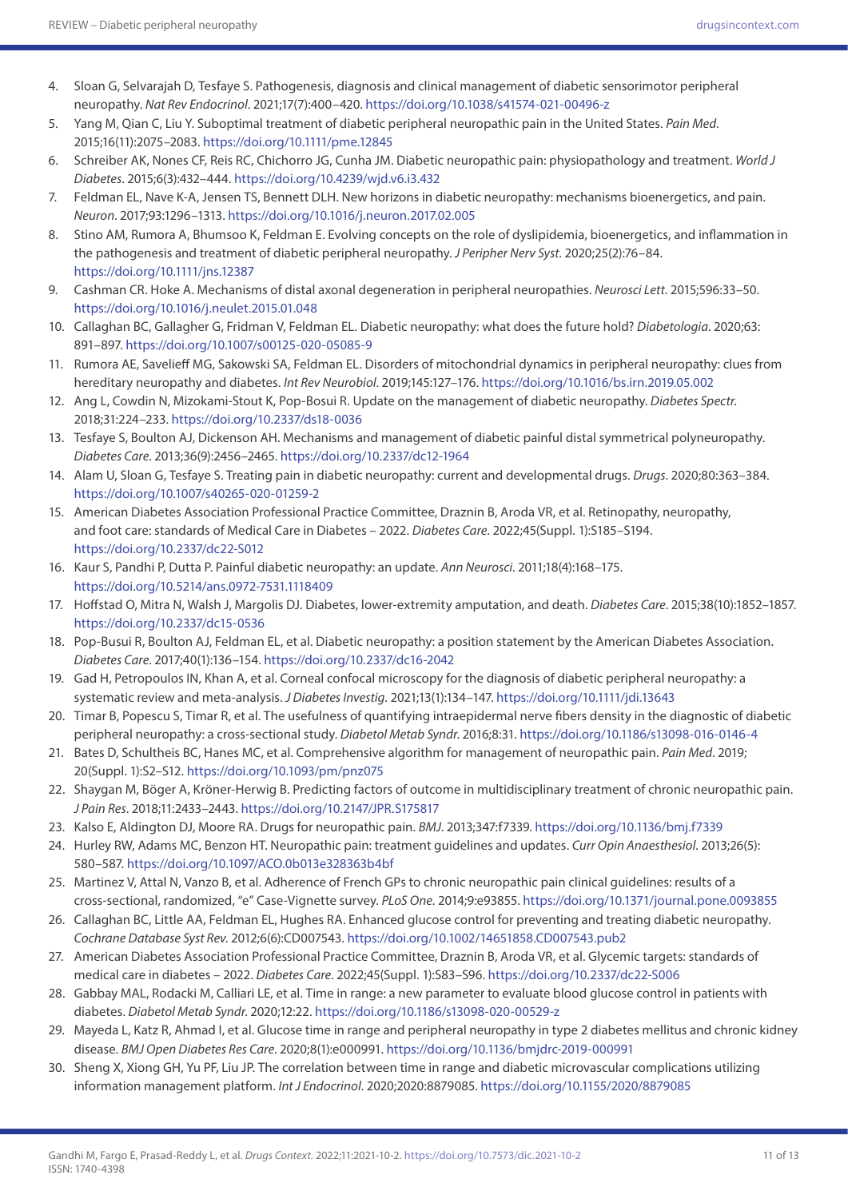- 4. Sloan G, Selvarajah D, Tesfaye S. Pathogenesis, diagnosis and clinical management of diabetic sensorimotor peripheral neuropathy. *Nat Rev Endocrinol*. 2021;17(7):400–420. <https://doi.org/10.1038/s41574-021-00496-z>
- 5. Yang M, Qian C, Liu Y. Suboptimal treatment of diabetic peripheral neuropathic pain in the United States. *Pain Med*. 2015;16(11):2075–2083. <https://doi.org/10.1111/pme.12845>
- 6. Schreiber AK, Nones CF, Reis RC, Chichorro JG, Cunha JM. Diabetic neuropathic pain: physiopathology and treatment. *World J Diabetes*. 2015;6(3):432–444.<https://doi.org/10.4239/wjd.v6.i3.432>
- 7. Feldman EL, Nave K-A, Jensen TS, Bennett DLH. New horizons in diabetic neuropathy: mechanisms bioenergetics, and pain. *Neuron*. 2017;93:1296–1313.<https://doi.org/10.1016/j.neuron.2017.02.005>
- 8. Stino AM, Rumora A, Bhumsoo K, Feldman E. Evolving concepts on the role of dyslipidemia, bioenergetics, and inflammation in the pathogenesis and treatment of diabetic peripheral neuropathy. *J Peripher Nerv Syst*. 2020;25(2):76–84. <https://doi.org/10.1111/jns.12387>
- 9. Cashman CR. Hoke A. Mechanisms of distal axonal degeneration in peripheral neuropathies. *Neurosci Lett*. 2015;596:33–50. <https://doi.org/10.1016/j.neulet.2015.01.048>
- 10. Callaghan BC, Gallagher G, Fridman V, Feldman EL. Diabetic neuropathy: what does the future hold? *Diabetologia*. 2020;63: 891–897.<https://doi.org/10.1007/s00125-020-05085-9>
- 11. Rumora AE, Savelieff MG, Sakowski SA, Feldman EL. Disorders of mitochondrial dynamics in peripheral neuropathy: clues from hereditary neuropathy and diabetes. *Int Rev Neurobiol*. 2019;145:127–176.<https://doi.org/10.1016/bs.irn.2019.05.002>
- 12. Ang L, Cowdin N, Mizokami-Stout K, Pop-Bosui R. Update on the management of diabetic neuropathy. *Diabetes Spectr*. 2018;31:224–233. <https://doi.org/10.2337/ds18-0036>
- 13. Tesfaye S, Boulton AJ, Dickenson AH. Mechanisms and management of diabetic painful distal symmetrical polyneuropathy. *Diabetes Care*. 2013;36(9):2456–2465. <https://doi.org/10.2337/dc12-1964>
- 14. Alam U, Sloan G, Tesfaye S. Treating pain in diabetic neuropathy: current and developmental drugs. *Drugs*. 2020;80:363–384. <https://doi.org/10.1007/s40265-020-01259-2>
- 15. American Diabetes Association Professional Practice Committee, Draznin B, Aroda VR, et al. Retinopathy, neuropathy, and foot care: standards of Medical Care in Diabetes – 2022. *Diabetes Care*. 2022;45(Suppl. 1):S185–S194. <https://doi.org/10.2337/dc22-S012>
- 16. Kaur S, Pandhi P, Dutta P. Painful diabetic neuropathy: an update. *Ann Neurosci*. 2011;18(4):168–175. <https://doi.org/10.5214/ans.0972-7531.1118409>
- 17. Hoffstad O, Mitra N, Walsh J, Margolis DJ. Diabetes, lower-extremity amputation, and death. *Diabetes Care*. 2015;38(10):1852–1857. <https://doi.org/10.2337/dc15-0536>
- 18. Pop-Busui R, Boulton AJ, Feldman EL, et al. Diabetic neuropathy: a position statement by the American Diabetes Association. *Diabetes Care*. 2017;40(1):136–154.<https://doi.org/10.2337/dc16-2042>
- 19. Gad H, Petropoulos IN, Khan A, et al. Corneal confocal microscopy for the diagnosis of diabetic peripheral neuropathy: a systematic review and meta-analysis. *J Diabetes Investig*. 2021;13(1):134–147. <https://doi.org/10.1111/jdi.13643>
- 20. Timar B, Popescu S, Timar R, et al. The usefulness of quantifying intraepidermal nerve fibers density in the diagnostic of diabetic peripheral neuropathy: a cross-sectional study. *Diabetol Metab Syndr*. 2016;8:31.<https://doi.org/10.1186/s13098-016-0146-4>
- 21. Bates D, Schultheis BC, Hanes MC, et al. Comprehensive algorithm for management of neuropathic pain. *Pain Med*. 2019; 20(Suppl. 1):S2–S12.<https://doi.org/10.1093/pm/pnz075>
- 22. Shaygan M, Böger A, Kröner-Herwig B. Predicting factors of outcome in multidisciplinary treatment of chronic neuropathic pain. *J Pain Res*. 2018;11:2433–2443.<https://doi.org/10.2147/JPR.S175817>
- 23. Kalso E, Aldington DJ, Moore RA. Drugs for neuropathic pain. *BMJ*. 2013;347:f7339. <https://doi.org/10.1136/bmj.f7339>
- 24. Hurley RW, Adams MC, Benzon HT. Neuropathic pain: treatment guidelines and updates. *Curr Opin Anaesthesiol*. 2013;26(5): 580–587.<https://doi.org/10.1097/ACO.0b013e328363b4bf>
- 25. Martinez V, Attal N, Vanzo B, et al. Adherence of French GPs to chronic neuropathic pain clinical guidelines: results of a cross-sectional, randomized, "e" Case-Vignette survey. *PLoS One*. 2014;9:e93855.<https://doi.org/10.1371/journal.pone.0093855>
- 26. Callaghan BC, Little AA, Feldman EL, Hughes RA. Enhanced glucose control for preventing and treating diabetic neuropathy. *Cochrane Database Syst Rev*. 2012;6(6):CD007543. <https://doi.org/10.1002/14651858.CD007543.pub2>
- 27. American Diabetes Association Professional Practice Committee, Draznin B, Aroda VR, et al. Glycemic targets: standards of medical care in diabetes – 2022. *Diabetes Care*. 2022;45(Suppl. 1):S83–S96. <https://doi.org/10.2337/dc22-S006>
- 28. Gabbay MAL, Rodacki M, Calliari LE, et al. Time in range: a new parameter to evaluate blood glucose control in patients with diabetes. *Diabetol Metab Syndr*. 2020;12:22.<https://doi.org/10.1186/s13098-020-00529-z>
- 29. Mayeda L, Katz R, Ahmad I, et al. Glucose time in range and peripheral neuropathy in type 2 diabetes mellitus and chronic kidney disease. *BMJ Open Diabetes Res Care*. 2020;8(1):e000991. [https://doi.org/1](https://doi.org/10.1136/bmjdrc-2019-000991)0.1136/bmjdrc-2019-000991
- 30. Sheng X, Xiong GH, Yu PF, Liu JP. The correlation between time in range and diabetic microvascular complications utilizing information management platform. *Int J Endocrinol*. 2020;2020:8879085. <https://doi.org/10.1155/2020/8879085>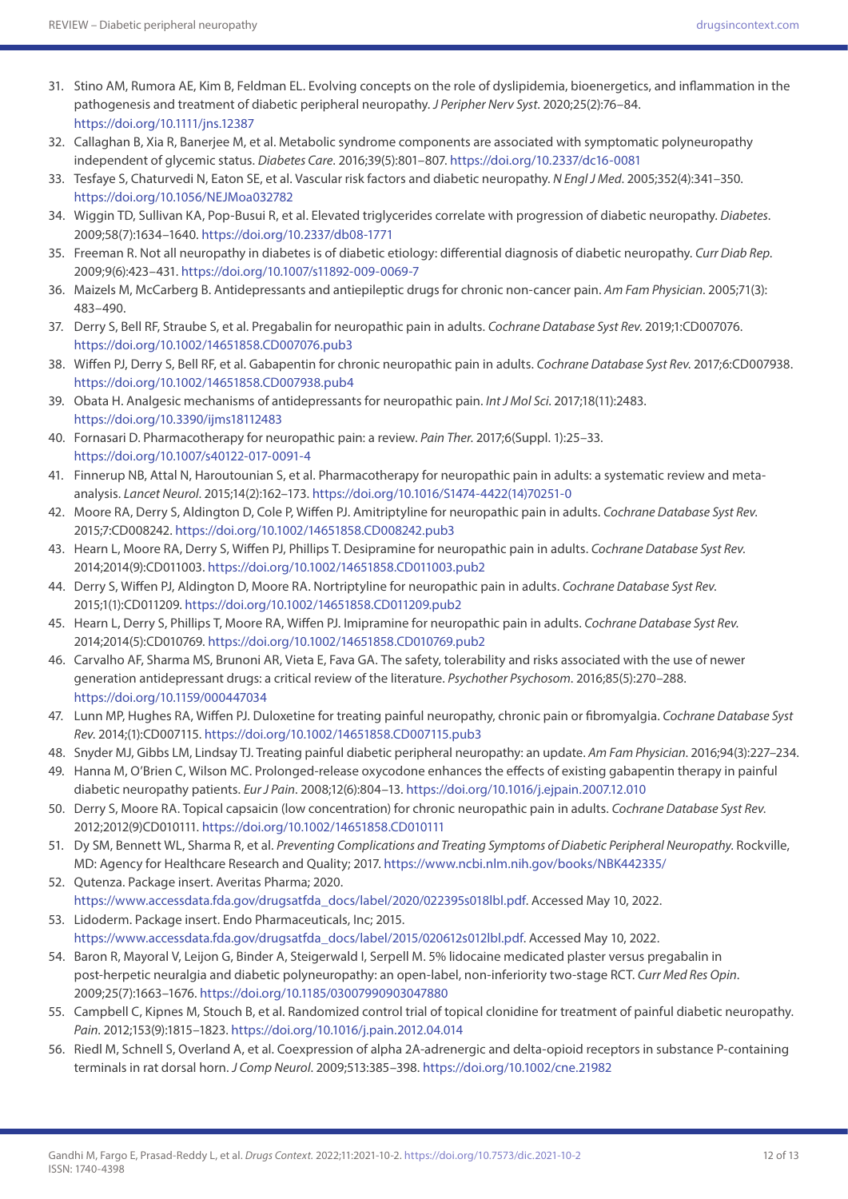- 31. Stino AM, Rumora AE, Kim B, Feldman EL. Evolving concepts on the role of dyslipidemia, bioenergetics, and inflammation in the pathogenesis and treatment of diabetic peripheral neuropathy. *J Peripher Nerv Syst*. 2020;25(2):76–84. <https://doi.org/10.1111/jns.12387>
- 32. Callaghan B, Xia R, Banerjee M, et al. Metabolic syndrome components are associated with symptomatic polyneuropathy independent of glycemic status. *Diabetes Care*. 2016;39(5):801–807.<https://doi.org/10.2337/dc16-0081>
- 33. Tesfaye S, Chaturvedi N, Eaton SE, et al. Vascular risk factors and diabetic neuropathy. *N Engl J Med*. 2005;352(4):341–350. <https://doi.org/10.1056/NEJMoa032782>
- 34. Wiggin TD, Sullivan KA, Pop-Busui R, et al. Elevated triglycerides correlate with progression of diabetic neuropathy. *Diabetes*. 2009;58(7):1634–1640. <https://doi.org/10.2337/db08-1771>
- 35. Freeman R. Not all neuropathy in diabetes is of diabetic etiology: differential diagnosis of diabetic neuropathy. *Curr Diab Rep*. 2009;9(6):423–431.<https://doi.org/10.1007/s11892-009-0069-7>
- 36. Maizels M, McCarberg B. Antidepressants and antiepileptic drugs for chronic non-cancer pain. *Am Fam Physician*. 2005;71(3): 483–490.
- 37. Derry S, Bell RF, Straube S, et al. Pregabalin for neuropathic pain in adults. *Cochrane Database Syst Rev*. 2019;1:CD007076. <https://doi.org/10.1002/14651858.CD007076.pub3>
- 38. Wiffen PJ, Derry S, Bell RF, et al. Gabapentin for chronic neuropathic pain in adults. *Cochrane Database Syst Rev*. 2017;6:CD007938. <https://doi.org/10.1002/14651858.CD007938.pub4>
- 39. Obata H. Analgesic mechanisms of antidepressants for neuropathic pain. *Int J Mol Sci*. 2017;18(11):2483. <https://doi.org/10.3390/ijms18112483>
- 40. Fornasari D. Pharmacotherapy for neuropathic pain: a review. *Pain Ther*. 2017;6(Suppl. 1):25–33. <https://doi.org/10.1007/s40122-017-0091-4>
- 41. Finnerup NB, Attal N, Haroutounian S, et al. Pharmacotherapy for neuropathic pain in adults: a systematic review and metaanalysis. *Lancet Neurol*. 2015;14(2):162–173. [https://doi.org/10.1016/S1474-4422\(14\)70251-0](https://doi.org/10.1016/S1474-4422(14)70251-0)
- 42. Moore RA, Derry S, Aldington D, Cole P, Wiffen PJ. Amitriptyline for neuropathic pain in adults. *Cochrane Database Syst Rev*. 2015;7:CD008242.<https://doi.org/10.1002/14651858.CD008242.pub3>
- 43. Hearn L, Moore RA, Derry S, Wiffen PJ, Phillips T. Desipramine for neuropathic pain in adults. *Cochrane Database Syst Rev*. 2014;2014(9):CD011003.<https://doi.org/10.1002/14651858.CD011003.pub2>
- 44. Derry S, Wiffen PJ, Aldington D, Moore RA. Nortriptyline for neuropathic pain in adults. *Cochrane Database Syst Rev*. 2015;1(1):CD011209. <https://doi.org/10.1002/14651858.CD011209.pub2>
- 45. Hearn L, Derry S, Phillips T, Moore RA, Wiffen PJ. Imipramine for neuropathic pain in adults. *Cochrane Database Syst Rev*. 2014;2014(5):CD010769.<https://doi.org/10.1002/14651858.CD010769.pub2>
- 46. Carvalho AF, Sharma MS, Brunoni AR, Vieta E, Fava GA. The safety, tolerability and risks associated with the use of newer generation antidepressant drugs: a critical review of the literature. *Psychother Psychosom*. 2016;85(5):270–288. <https://doi.org/10.1159/000447034>
- 47. Lunn MP, Hughes RA, Wiffen PJ. Duloxetine for treating painful neuropathy, chronic pain or fibromyalgia. *Cochrane Database Syst Rev*. 2014;(1):CD007115. <https://doi.org/10.1002/14651858.CD007115.pub3>
- 48. Snyder MJ, Gibbs LM, Lindsay TJ. Treating painful diabetic peripheral neuropathy: an update. *Am Fam Physician*. 2016;94(3):227–234.
- 49. Hanna M, O'Brien C, Wilson MC. Prolonged-release oxycodone enhances the effects of existing gabapentin therapy in painful diabetic neuropathy patients. *Eur J Pain*. 2008;12(6):804–13.<https://doi.org/10.1016/j.ejpain.2007.12.010>
- 50. Derry S, Moore RA. Topical capsaicin (low concentration) for chronic neuropathic pain in adults. *Cochrane Database Syst Rev*. 2012;2012(9)CD010111. <https://doi.org/10.1002/14651858.CD010111>
- 51. Dy SM, Bennett WL, Sharma R, et al. *Preventing Complications and Treating Symptoms of Diabetic Peripheral Neuropathy*. Rockville, MD: Agency for Healthcare Research and Quality; 2017. <https://www.ncbi.nlm.nih.gov/books/NBK442335/>
- 52. Qutenza. Package insert. Averitas Pharma; 2020. [https://www.accessdata.fda.gov/drugsatfda\\_docs/label/2020/022395s018lbl.pdf](https://www.accessdata.fda.gov/drugsatfda_docs/label/2020/022395s018lbl.pdf). Accessed May 10, 2022.
- 53. Lidoderm. Package insert. Endo Pharmaceuticals, Inc; 2015. [https://www.accessdata.fda.gov/drugsatfda\\_docs/label/2015/020612s012lbl.pdf](https://www.accessdata.fda.gov/drugsatfda_docs/label/2015/020612s012lbl.pdf). Accessed May 10, 2022.
- 54. Baron R, Mayoral V, Leijon G, Binder A, Steigerwald I, Serpell M. 5% lidocaine medicated plaster versus pregabalin in post-herpetic neuralgia and diabetic polyneuropathy: an open-label, non-inferiority two-stage RCT. *Curr Med Res Opin*. 2009;25(7):1663–1676.<https://doi.org/10.1185/03007990903047880>
- 55. Campbell C, Kipnes M, Stouch B, et al. Randomized control trial of topical clonidine for treatment of painful diabetic neuropathy. *Pain*. 2012;153(9):1815–1823.<https://doi.org/10.1016/j.pain.2012.04.014>
- 56. Riedl M, Schnell S, Overland A, et al. Coexpression of alpha 2A-adrenergic and delta-opioid receptors in substance P-containing terminals in rat dorsal horn. *J Comp Neurol*. 2009;513:385–398. <https://doi.org/10.1002/cne.21982>